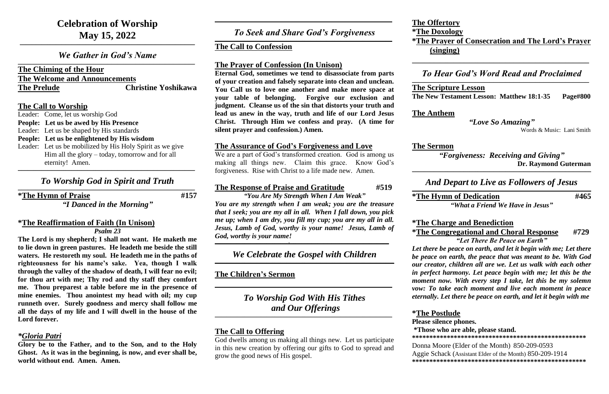*We Gather in God's Name*  $\mathcal{L}_\mathcal{L} = \mathcal{L}_\mathcal{L} = \mathcal{L}_\mathcal{L} = \mathcal{L}_\mathcal{L} = \mathcal{L}_\mathcal{L} = \mathcal{L}_\mathcal{L} = \mathcal{L}_\mathcal{L} = \mathcal{L}_\mathcal{L} = \mathcal{L}_\mathcal{L} = \mathcal{L}_\mathcal{L} = \mathcal{L}_\mathcal{L} = \mathcal{L}_\mathcal{L} = \mathcal{L}_\mathcal{L} = \mathcal{L}_\mathcal{L} = \mathcal{L}_\mathcal{L} = \mathcal{L}_\mathcal{L} = \mathcal{L}_\mathcal{L}$ 

## **The Chiming of the Hour The Welcome and Announcements The Prelude Christine Yoshikawa**

**The Call to Worship**

Leader: Come, let us worship God

**People: Let us be awed by His Presence**

Leader: Let us be shaped by His standards

- **People: Let us be enlightened by His wisdom**
- Leader: Let us be mobilized by His Holy Spirit as we give Him all the glory – today, tomorrow and for all eternity! Amen.

**\_\_\_\_\_\_\_\_\_\_\_\_\_\_\_\_\_\_\_\_\_\_\_\_\_\_\_\_\_\_\_\_\_\_\_\_\_\_\_\_\_\_\_\_\_\_\_\_\_\_\_\_\_\_\_\_\_\_\_\_\_\_\_\_\_\_\_\_\_\_\_\_\_\_\_\_\_\_\_\_\_\_\_\_\_\_\_\_\_**

## *To Worship God in Spirit and Truth*

**\*The Hymn of Praise #157**

 $\mathcal{L}_\mathcal{L} = \mathcal{L}_\mathcal{L} = \mathcal{L}_\mathcal{L} = \mathcal{L}_\mathcal{L} = \mathcal{L}_\mathcal{L} = \mathcal{L}_\mathcal{L} = \mathcal{L}_\mathcal{L} = \mathcal{L}_\mathcal{L} = \mathcal{L}_\mathcal{L} = \mathcal{L}_\mathcal{L} = \mathcal{L}_\mathcal{L} = \mathcal{L}_\mathcal{L} = \mathcal{L}_\mathcal{L} = \mathcal{L}_\mathcal{L} = \mathcal{L}_\mathcal{L} = \mathcal{L}_\mathcal{L} = \mathcal{L}_\mathcal{L}$ 

*"I Danced in the Morning"*

### *To Seek and Share God's Forgiveness*  $\mathcal{L}_\mathcal{L} = \mathcal{L}_\mathcal{L} = \mathcal{L}_\mathcal{L} = \mathcal{L}_\mathcal{L} = \mathcal{L}_\mathcal{L} = \mathcal{L}_\mathcal{L} = \mathcal{L}_\mathcal{L} = \mathcal{L}_\mathcal{L} = \mathcal{L}_\mathcal{L} = \mathcal{L}_\mathcal{L} = \mathcal{L}_\mathcal{L} = \mathcal{L}_\mathcal{L} = \mathcal{L}_\mathcal{L} = \mathcal{L}_\mathcal{L} = \mathcal{L}_\mathcal{L} = \mathcal{L}_\mathcal{L} = \mathcal{L}_\mathcal{L}$

## **\*The Reaffirmation of Faith (In Unison)** *Psalm 23*

**The Lord is my shepherd; I shall not want. He maketh me to lie down in green pastures. He leadeth me beside the still waters. He restoreth my soul. He leadeth me in the paths of righteousness for his name's sake. Yea, though I walk through the valley of the shadow of death, I will fear no evil; for thou art with me; Thy rod and thy staff they comfort me. Thou preparest a table before me in the presence of mine enemies. Thou anointest my head with oil; my cup runneth over. Surely goodness and mercy shall follow me all the days of my life and I will dwell in the house of the Lord forever.**

## *\*Gloria Patri*

**Glory be to the Father, and to the Son, and to the Holy Ghost. As it was in the beginning, is now, and ever shall be, world without end. Amen. Amen.**

*To Worship God With His Tithes and Our Offerings*  $\mathcal{L}_\mathcal{L} = \mathcal{L}_\mathcal{L} = \mathcal{L}_\mathcal{L} = \mathcal{L}_\mathcal{L} = \mathcal{L}_\mathcal{L} = \mathcal{L}_\mathcal{L} = \mathcal{L}_\mathcal{L} = \mathcal{L}_\mathcal{L} = \mathcal{L}_\mathcal{L} = \mathcal{L}_\mathcal{L} = \mathcal{L}_\mathcal{L} = \mathcal{L}_\mathcal{L} = \mathcal{L}_\mathcal{L} = \mathcal{L}_\mathcal{L} = \mathcal{L}_\mathcal{L} = \mathcal{L}_\mathcal{L} = \mathcal{L}_\mathcal{L}$ 

**\_\_\_\_\_\_\_\_\_\_\_\_\_\_\_\_\_\_\_\_\_\_\_\_\_\_\_\_\_\_\_\_\_\_\_\_\_\_\_\_\_\_\_\_\_\_\_\_\_\_\_\_\_\_\_\_\_\_\_\_\_\_\_\_\_\_\_\_\_\_\_\_\_\_\_\_\_\_\_\_\_\_\_\_\_\_\_\_\_**

## **The Call to Confession**

## **The Prayer of Confession (In Unison)**

 $\mathcal{L}_\mathcal{L} = \mathcal{L}_\mathcal{L} = \mathcal{L}_\mathcal{L} = \mathcal{L}_\mathcal{L} = \mathcal{L}_\mathcal{L} = \mathcal{L}_\mathcal{L} = \mathcal{L}_\mathcal{L} = \mathcal{L}_\mathcal{L} = \mathcal{L}_\mathcal{L} = \mathcal{L}_\mathcal{L} = \mathcal{L}_\mathcal{L} = \mathcal{L}_\mathcal{L} = \mathcal{L}_\mathcal{L} = \mathcal{L}_\mathcal{L} = \mathcal{L}_\mathcal{L} = \mathcal{L}_\mathcal{L} = \mathcal{L}_\mathcal{L}$ **The Scripture Lesson**

**Eternal God, sometimes we tend to disassociate from parts of your creation and falsely separate into clean and unclean. You Call us to love one another and make more space at your table of belonging. Forgive our exclusion and judgment. Cleanse us of the sin that distorts your truth and lead us anew in the way, truth and life of our Lord Jesus Christ. Through Him we confess and pray. (A time for silent prayer and confession.) Amen.**

## **The Assurance of God's Forgiveness and Love**

We are a part of God's transformed creation. God is among us making all things new. Claim this grace. Know God's forgiveness. Rise with Christ to a life made new. Amen.

## **The Response of Praise and Gratitude #519**

*"You Are My Strength When I Am Weak" You are my strength when I am weak; you are the treasure that I seek; you are my all in all. When I fall down, you pick me up; when I am dry, you fill my cup; you are my all in all. Jesus, Lamb of God, worthy is your name! Jesus, Lamb of God, worthy is your name!*

**\_\_\_\_\_\_\_\_\_\_\_\_\_\_\_\_\_\_\_\_\_\_\_\_\_\_\_\_\_\_\_\_\_\_\_\_\_,\_\_\_\_\_\_\_\_\_\_\_\_\_\_\_\_\_\_\_\_\_\_\_\_\_\_\_\_\_\_\_\_\_\_\_\_\_\_\_\_\_\_\_\_\_\_\_\_\_\_**

*We Celebrate the Gospel with Children* **\_\_\_\_\_\_\_\_\_\_\_\_\_\_\_\_\_\_\_\_\_\_\_\_\_\_\_\_\_\_\_\_\_\_\_\_\_\_\_\_\_\_\_\_\_\_\_\_\_\_\_\_\_\_\_\_\_\_\_\_\_\_\_\_\_\_\_\_\_\_\_\_\_\_\_\_\_\_\_\_\_\_\_\_\_\_\_\_\_\_**

## **The Children's Sermon**

**\_\_\_\_\_\_\_\_\_\_\_\_\_\_\_\_\_\_\_\_\_\_\_\_\_\_\_\_\_\_\_\_\_\_\_\_\_\_\_\_\_\_\_\_\_\_\_\_\_\_\_\_\_\_\_\_\_\_\_\_\_\_\_\_\_\_\_\_\_\_\_\_\_\_\_\_\_\_\_\_\_\_\_\_\_\_\_\_\_**

## **The Call to Offering**

God dwells among us making all things new. Let us participate in this new creation by offering our gifts to God to spread and grow the good news of His gospel.

**The Offertory \*The Doxology (singing)**

# **\*The Prayer of Consecration and The Lord's Prayer**

**\_\_\_\_\_\_\_\_\_\_\_\_\_\_\_\_\_\_\_\_\_\_\_\_\_\_\_\_\_\_\_\_\_\_\_\_\_\_\_\_\_\_\_\_\_\_\_\_\_\_\_\_\_\_\_\_\_\_\_\_\_\_\_\_\_\_\_\_\_\_\_\_\_\_\_\_\_\_\_\_\_\_\_\_\_\_\_\_\_**

## *To Hear God's Word Read and Proclaimed*

## **The New Testament Lesson: Matthew 18:1-35 Page#800**

**The Anthem**

*"Love So Amazing"*

Words & Music: Lani Smith

**The Sermon** 

*"Forgiveness: Receiving and Giving"*  **Dr. Raymond Guterman**

**\_\_\_\_\_\_\_\_\_\_\_\_\_\_\_\_\_\_\_\_\_\_\_\_\_\_\_\_\_\_\_\_\_\_\_\_\_\_\_\_\_\_\_\_\_\_\_\_\_\_\_\_\_\_\_\_\_\_\_\_\_\_\_\_\_\_\_\_\_\_\_\_\_\_\_\_\_\_\_\_\_\_\_\_\_\_\_\_\_\_**

## *And Depart to Live as Followers of Jesus*

## **\_\_\_\_\_\_\_\_\_\_\_\_\_\_\_\_\_\_\_\_\_\_\_\_\_\_\_\_\_\_\_\_\_\_\_\_\_\_\_\_\_\_\_\_\_\_\_\_\_\_\_\_\_\_\_\_\_\_\_\_\_\_\_\_\_\_\_\_\_\_\_\_\_\_\_\_\_\_\_\_\_\_\_\_\_\_\_\_\_\_**

## **\*The Hymn of Dedication #465**

*"What a Friend We Have in Jesus"*

## **\*The Charge and Benediction \*The Congregational and Choral Response #729**

*"Let There Be Peace on Earth"*

*Let there be peace on earth, and let it begin with me; Let there be peace on earth, the peace that was meant to be. With God our creator, children all are we. Let us walk with each other in perfect harmony. Let peace begin with me; let this be the moment now. With every step I take, let this be my solemn vow: To take each moment and live each moment in peace eternally. Let there be peace on earth, and let it begin with me*

## **\*The Postlude Please silence phones.**

## **\*Those who are able, please stand.**

**\*\*\*\*\*\*\*\*\*\*\*\*\*\*\*\*\*\*\*\*\*\*\*\*\*\*\*\*\*\*\*\*\*\*\*\*\*\*\*\*\*\*\*\*\*\*\*\*\*\***

Donna Moore (Elder of the Month) 850-209-0593 Aggie Schack (Assistant Elder of the Month) 850-209-1914 **\*\*\*\*\*\*\*\*\*\*\*\*\*\*\*\*\*\*\*\*\*\*\*\*\*\*\*\*\*\*\*\*\*\*\*\*\*\*\*\*\*\*\*\*\*\*\*\*\*\***